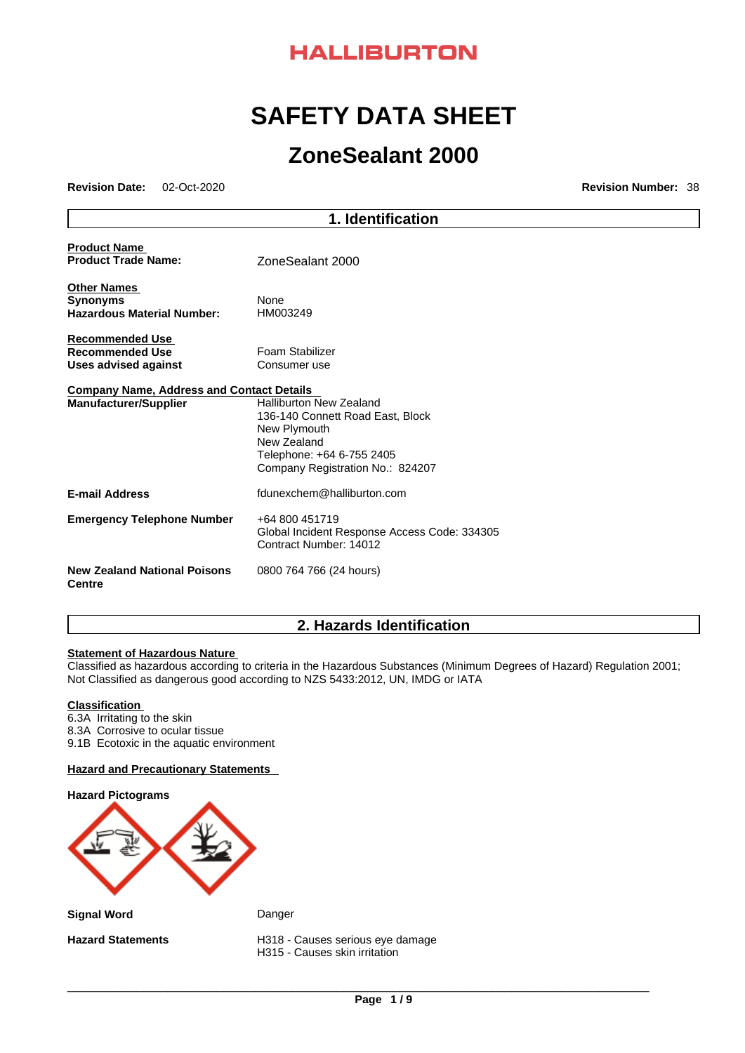

# **SAFETY DATA SHEET**

# **ZoneSealant 2000**

**Revision Date:** 02-Oct-2020 **Revision Number:** 38

|                                                   | 1. Identification                                                                                                                                                  |
|---------------------------------------------------|--------------------------------------------------------------------------------------------------------------------------------------------------------------------|
| <b>Product Name</b><br><b>Product Trade Name:</b> | ZoneSealant 2000                                                                                                                                                   |
| <b>Other Names</b>                                |                                                                                                                                                                    |
| <b>Synonyms</b>                                   | None                                                                                                                                                               |
| <b>Hazardous Material Number:</b>                 | HM003249                                                                                                                                                           |
| <b>Recommended Use</b>                            |                                                                                                                                                                    |
| <b>Recommended Use</b>                            | Foam Stabilizer                                                                                                                                                    |
| <b>Uses advised against</b>                       | Consumer use                                                                                                                                                       |
| <b>Company Name, Address and Contact Details</b>  |                                                                                                                                                                    |
| <b>Manufacturer/Supplier</b>                      | <b>Halliburton New Zealand</b><br>136-140 Connett Road East, Block<br>New Plymouth<br>New Zealand<br>Telephone: +64 6-755 2405<br>Company Registration No.: 824207 |
| <b>E-mail Address</b>                             | fdunexchem@halliburton.com                                                                                                                                         |
| <b>Emergency Telephone Number</b>                 | +64 800 451719<br>Global Incident Response Access Code: 334305<br>Contract Number: 14012                                                                           |
| <b>New Zealand National Poisons</b><br>Centre     | 0800 764 766 (24 hours)                                                                                                                                            |

# **2. Hazards Identification**

### **Statement of Hazardous Nature**

Classified as hazardous according to criteria in the Hazardous Substances (Minimum Degrees of Hazard) Regulation 2001; Not Classified as dangerous good according to NZS 5433:2012, UN, IMDG or IATA

### **Classification**

- 6.3A Irritating to the skin
- 8.3A Corrosive to ocular tissue
- 9.1B Ecotoxic in the aquatic environment

### **Hazard and Precautionary Statements**

# **Hazard Pictograms**

**Signal Word** Danger

**Hazard Statements** H318 - Causes serious eye damage H315 - Causes skin irritation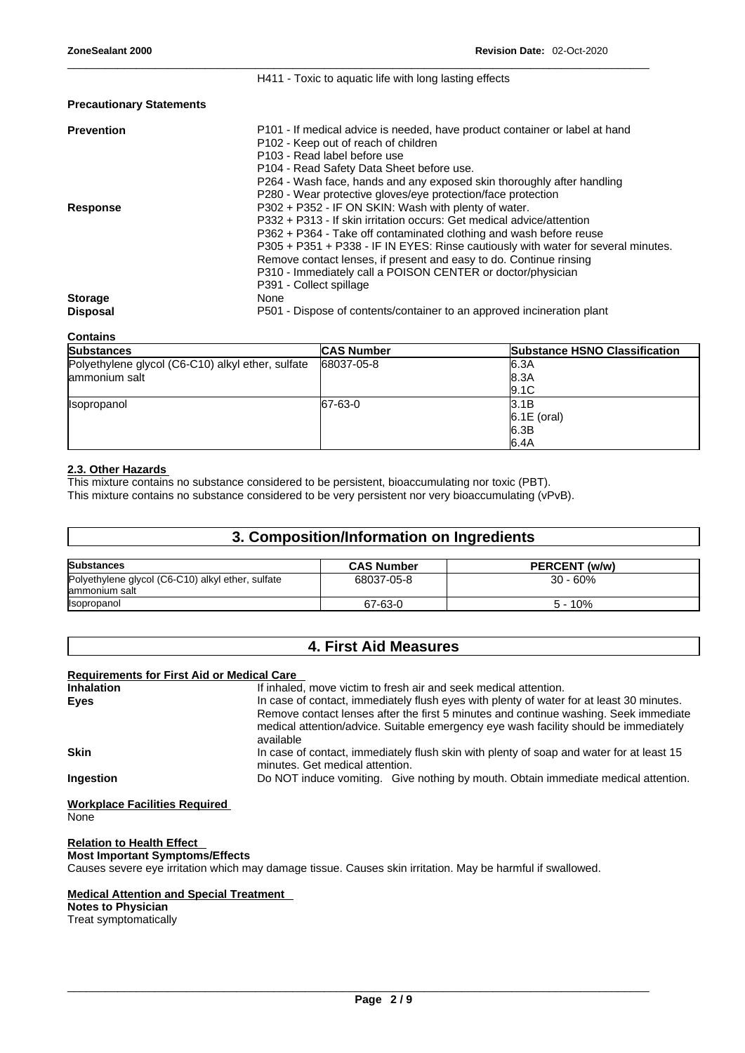**Precautionary Statements**

| <b>Prevention</b> | P101 - If medical advice is needed, have product container or label at hand       |
|-------------------|-----------------------------------------------------------------------------------|
|                   | P <sub>102</sub> - Keep out of reach of children                                  |
|                   | P <sub>103</sub> - Read label before use                                          |
|                   | P104 - Read Safety Data Sheet before use.                                         |
|                   | P264 - Wash face, hands and any exposed skin thoroughly after handling            |
|                   | P280 - Wear protective gloves/eye protection/face protection                      |
| Response          | P302 + P352 - IF ON SKIN: Wash with plenty of water.                              |
|                   | P332 + P313 - If skin irritation occurs: Get medical advice/attention             |
|                   | P362 + P364 - Take off contaminated clothing and wash before reuse                |
|                   | P305 + P351 + P338 - IF IN EYES: Rinse cautiously with water for several minutes. |
|                   | Remove contact lenses, if present and easy to do. Continue rinsing                |
|                   | P310 - Immediately call a POISON CENTER or doctor/physician                       |
|                   | P391 - Collect spillage                                                           |
| <b>Storage</b>    | None                                                                              |
| <b>Disposal</b>   | P501 - Dispose of contents/container to an approved incineration plant            |

\_\_\_\_\_\_\_\_\_\_\_\_\_\_\_\_\_\_\_\_\_\_\_\_\_\_\_\_\_\_\_\_\_\_\_\_\_\_\_\_\_\_\_\_\_\_\_\_\_\_\_\_\_\_\_\_\_\_\_\_\_\_\_\_\_\_\_\_\_\_\_\_\_\_\_\_\_\_\_\_\_\_\_\_\_\_\_\_\_\_\_\_\_

H411 - Toxic to aquatic life with long lasting effects

**Contains Substances CAS Number Substance HSNO** Classification Polyethylene glycol (C6-C10) alkyl ether, sulfate ammonium salt 68037-05-8 6.3A 8.3A 9.1C Isopropanol 3.1B 6.1E (oral) 6.3B 6.4A

### **2.3. Other Hazards**

This mixture contains no substance considered to be persistent, bioaccumulating nor toxic (PBT). This mixture contains no substance considered to be very persistent nor very bioaccumulating (vPvB).

### **3. Composition/Information on Ingredients**

| <b>Substances</b>                                                   | <b>CAS Number</b> | PERCENT (w/w) |
|---------------------------------------------------------------------|-------------------|---------------|
| Polyethylene glycol (C6-C10) alkyl ether, sulfate<br>lammonium salt | 68037-05-8        | $30 - 60\%$   |
| Isopropanol                                                         | 67-63-0           | 10%<br>$5 -$  |

## **4. First Aid Measures**

### **Requirements for First Aid or Medical Care**

| If inhaled, move victim to fresh air and seek medical attention.                         |
|------------------------------------------------------------------------------------------|
| In case of contact, immediately flush eyes with plenty of water for at least 30 minutes. |
| Remove contact lenses after the first 5 minutes and continue washing. Seek immediate     |
| medical attention/advice. Suitable emergency eye wash facility should be immediately     |
| available                                                                                |
| In case of contact, immediately flush skin with plenty of soap and water for at least 15 |
| minutes. Get medical attention.                                                          |
| Do NOT induce vomiting. Give nothing by mouth. Obtain immediate medical attention.       |
|                                                                                          |

### **Workplace Facilities Required** None

**Relation to Health Effect** 

**Most Important Symptoms/Effects**

Causes severe eye irritation which may damage tissue. Causes skin irritation. May be harmful if swallowed.

### **Medical Attention and Special Treatment**

**Notes to Physician** Treat symptomatically<br>  $\begin{picture}(180,140)(0,0) \put(0,0){\vector(180,140)(0,0){180}} \put(10,0){\vector(180,140)(0,0){180}} \put(10,0){\vector(180,140)(0,0){180}} \put(10,0){\vector(180,140)(0,0){180}} \put(10,0){\vector(180,140)(0,0){180}} \put(10,0){\vector(180,140)(0,0){180}} \put(10,0){\vector(180,140)(0$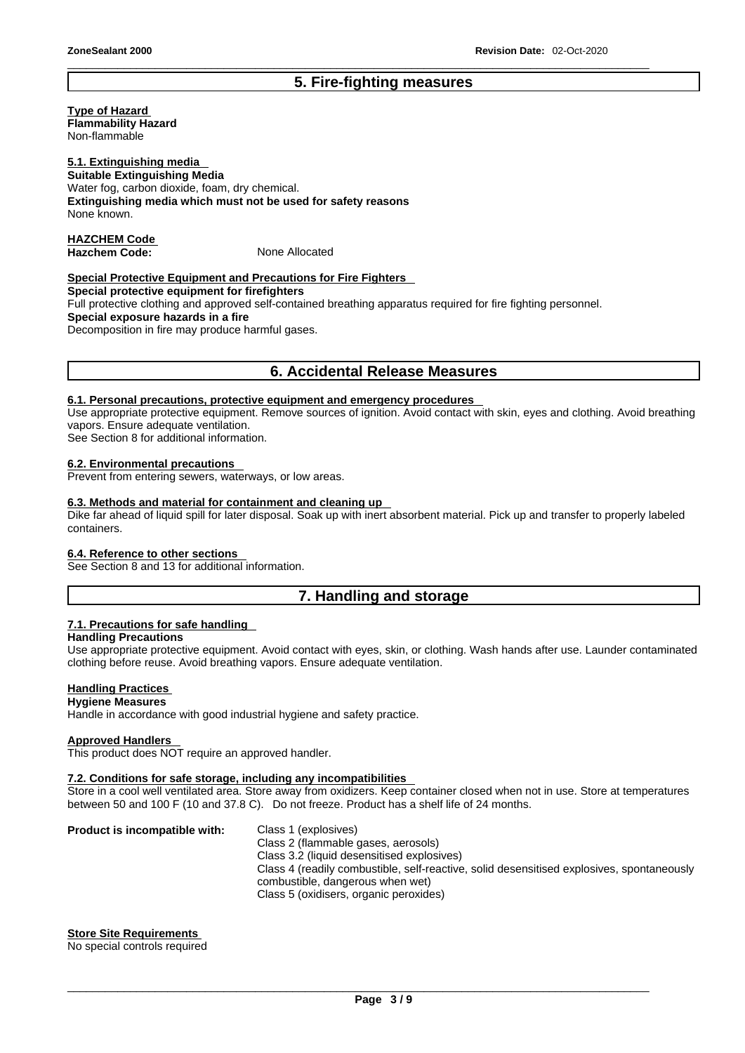# **5. Fire-fighting measures**

\_\_\_\_\_\_\_\_\_\_\_\_\_\_\_\_\_\_\_\_\_\_\_\_\_\_\_\_\_\_\_\_\_\_\_\_\_\_\_\_\_\_\_\_\_\_\_\_\_\_\_\_\_\_\_\_\_\_\_\_\_\_\_\_\_\_\_\_\_\_\_\_\_\_\_\_\_\_\_\_\_\_\_\_\_\_\_\_\_\_\_\_\_

### **Type of Hazard Flammability Hazard**

Non-flammable

### **5.1. Extinguishing media**

**Suitable Extinguishing Media** Water fog, carbon dioxide, foam, dry chemical. **Extinguishing media which must not be used for safety reasons** None known.

### **HAZCHEM Code**  Hazchem Code: None Allocated

### **Special Protective Equipment and Precautions for Fire Fighters**

**Special protective equipment for firefighters** Full protective clothing and approved self-contained breathing apparatus required for fire fighting personnel.

**Special exposure hazards in a fire**

Decomposition in fire may produce harmful gases.

### **6. Accidental Release Measures**

### **6.1. Personal precautions, protective equipment and emergency procedures**

Use appropriate protective equipment. Remove sources of ignition. Avoid contact with skin, eyes and clothing. Avoid breathing vapors. Ensure adequate ventilation.

See Section 8 for additional information.

### **6.2. Environmental precautions**

Prevent from entering sewers, waterways, or low areas.

### **6.3. Methods and material for containment and cleaning up**

Dike far ahead of liquid spill for later disposal. Soak up with inert absorbent material. Pick up and transfer to properly labeled containers.

### **6.4. Reference to other sections**

See Section 8 and 13 for additional information.

## **7. Handling and storage**

### **7.1. Precautions for safe handling**

### **Handling Precautions**

Use appropriate protective equipment. Avoid contact with eyes, skin, or clothing. Wash hands after use. Launder contaminated clothing before reuse. Avoid breathing vapors. Ensure adequate ventilation.

### **Handling Practices**

### **Hygiene Measures**

Handle in accordance with good industrial hygiene and safety practice.

### **Approved Handlers**

This product does NOT require an approved handler.

### **7.2. Conditions for safe storage, including any incompatibilities**

Store in a cool well ventilated area. Store away from oxidizers. Keep container closed when not in use. Store at temperatures between 50 and 100 F (10 and 37.8 C). Do not freeze. Product has a shelf life of 24 months.

**Product is incompatible with:** Class 1 (explosives) Class 2 (flammable gases, aerosols) Class 3.2 (liquid desensitised explosives) Class 4 (readily combustible, self-reactive, solid desensitised explosives, spontaneously combustible, dangerous when wet) Class 5 (oxidisers, organic peroxides)

### **Store Site Requirements**

No special controls required \_\_\_\_\_\_\_\_\_\_\_\_\_\_\_\_\_\_\_\_\_\_\_\_\_\_\_\_\_\_\_\_\_\_\_\_\_\_\_\_\_\_\_\_\_\_\_\_\_\_\_\_\_\_\_\_\_\_\_\_\_\_\_\_\_\_\_\_\_\_\_\_\_\_\_\_\_\_\_\_\_\_\_\_\_\_\_\_\_\_\_\_\_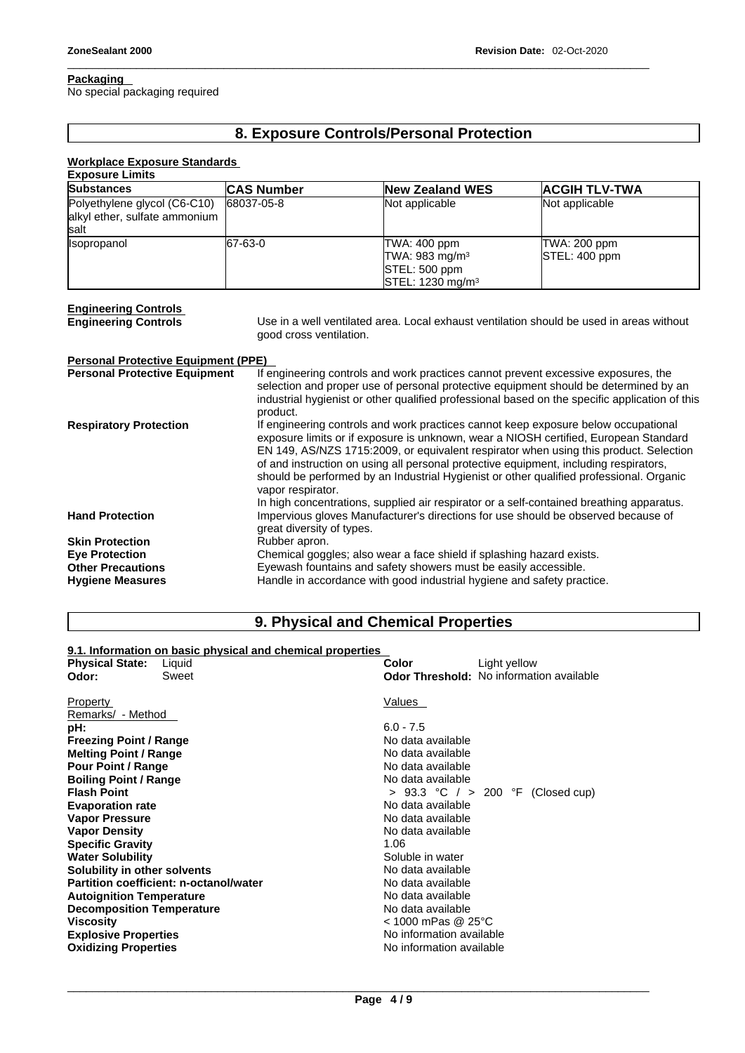### **Packaging**

No special packaging required

# **8. Exposure Controls/Personal Protection**

\_\_\_\_\_\_\_\_\_\_\_\_\_\_\_\_\_\_\_\_\_\_\_\_\_\_\_\_\_\_\_\_\_\_\_\_\_\_\_\_\_\_\_\_\_\_\_\_\_\_\_\_\_\_\_\_\_\_\_\_\_\_\_\_\_\_\_\_\_\_\_\_\_\_\_\_\_\_\_\_\_\_\_\_\_\_\_\_\_\_\_\_\_

### **Workplace Exposure Standards**

| <b>Exposure Limits</b>                     |                                                                                                                                                                            |                                                                                                |                      |  |  |  |  |
|--------------------------------------------|----------------------------------------------------------------------------------------------------------------------------------------------------------------------------|------------------------------------------------------------------------------------------------|----------------------|--|--|--|--|
| Substances                                 | <b>CAS Number</b>                                                                                                                                                          | <b>New Zealand WES</b>                                                                         | <b>ACGIH TLV-TWA</b> |  |  |  |  |
| Polyethylene glycol (C6-C10)               | 68037-05-8                                                                                                                                                                 | Not applicable                                                                                 | Not applicable       |  |  |  |  |
| alkyl ether, sulfate ammonium              |                                                                                                                                                                            |                                                                                                |                      |  |  |  |  |
| salt                                       |                                                                                                                                                                            |                                                                                                |                      |  |  |  |  |
| Isopropanol                                | 67-63-0                                                                                                                                                                    | TWA: 400 ppm                                                                                   | TWA: 200 ppm         |  |  |  |  |
|                                            |                                                                                                                                                                            | TWA: 983 mg/m $3$                                                                              | STEL: 400 ppm        |  |  |  |  |
|                                            |                                                                                                                                                                            | STEL: 500 ppm                                                                                  |                      |  |  |  |  |
|                                            |                                                                                                                                                                            | STEL: 1230 mg/m <sup>3</sup>                                                                   |                      |  |  |  |  |
|                                            |                                                                                                                                                                            |                                                                                                |                      |  |  |  |  |
| <b>Engineering Controls</b>                |                                                                                                                                                                            |                                                                                                |                      |  |  |  |  |
| <b>Engineering Controls</b>                |                                                                                                                                                                            | Use in a well ventilated area. Local exhaust ventilation should be used in areas without       |                      |  |  |  |  |
|                                            |                                                                                                                                                                            | good cross ventilation.                                                                        |                      |  |  |  |  |
|                                            |                                                                                                                                                                            |                                                                                                |                      |  |  |  |  |
| <b>Personal Protective Equipment (PPE)</b> |                                                                                                                                                                            |                                                                                                |                      |  |  |  |  |
| <b>Personal Protective Equipment</b>       |                                                                                                                                                                            | If engineering controls and work practices cannot prevent excessive exposures, the             |                      |  |  |  |  |
|                                            |                                                                                                                                                                            | selection and proper use of personal protective equipment should be determined by an           |                      |  |  |  |  |
|                                            |                                                                                                                                                                            | industrial hygienist or other qualified professional based on the specific application of this |                      |  |  |  |  |
|                                            | product.                                                                                                                                                                   |                                                                                                |                      |  |  |  |  |
| <b>Respiratory Protection</b>              | If engineering controls and work practices cannot keep exposure below occupational<br>exposure limits or if exposure is unknown, wear a NIOSH certified, European Standard |                                                                                                |                      |  |  |  |  |
|                                            |                                                                                                                                                                            |                                                                                                |                      |  |  |  |  |
|                                            |                                                                                                                                                                            | EN 149, AS/NZS 1715:2009, or equivalent respirator when using this product. Selection          |                      |  |  |  |  |
|                                            |                                                                                                                                                                            | of and instruction on using all personal protective equipment, including respirators,          |                      |  |  |  |  |
|                                            |                                                                                                                                                                            | should be performed by an Industrial Hygienist or other qualified professional. Organic        |                      |  |  |  |  |
|                                            | vapor respirator.                                                                                                                                                          |                                                                                                |                      |  |  |  |  |
|                                            |                                                                                                                                                                            | In high concentrations, supplied air respirator or a self-contained breathing apparatus.       |                      |  |  |  |  |
| <b>Hand Protection</b>                     |                                                                                                                                                                            | Impervious gloves Manufacturer's directions for use should be observed because of              |                      |  |  |  |  |
|                                            | great diversity of types.                                                                                                                                                  |                                                                                                |                      |  |  |  |  |
| <b>Skin Protection</b>                     | Rubber apron.                                                                                                                                                              |                                                                                                |                      |  |  |  |  |
| <b>Eye Protection</b>                      |                                                                                                                                                                            | Chemical goggles; also wear a face shield if splashing hazard exists.                          |                      |  |  |  |  |
| <b>Other Precautions</b>                   |                                                                                                                                                                            | Eyewash fountains and safety showers must be easily accessible.                                |                      |  |  |  |  |

**Hygiene Measures Handle** in accordance with good industrial hygiene and safety practice.

# **9. Physical and Chemical Properties**

### **9.1. Information on basic physical and chemical properties**

| <b>Physical State:</b><br>Liquid       | Color<br>Light yellow                           |
|----------------------------------------|-------------------------------------------------|
| Sweet<br>Odor:                         | <b>Odor Threshold:</b> No information available |
|                                        |                                                 |
| Property                               | Values                                          |
| Remarks/ - Method                      |                                                 |
| pH:                                    | $6.0 - 7.5$                                     |
| <b>Freezing Point / Range</b>          | No data available                               |
| <b>Melting Point / Range</b>           | No data available                               |
| <b>Pour Point / Range</b>              | No data available                               |
| <b>Boiling Point / Range</b>           | No data available                               |
| <b>Flash Point</b>                     | > 93.3 °C / > 200 °F (Closed cup)               |
| <b>Evaporation rate</b>                | No data available                               |
| <b>Vapor Pressure</b>                  | No data available                               |
| <b>Vapor Density</b>                   | No data available                               |
| <b>Specific Gravity</b>                | 1.06                                            |
| <b>Water Solubility</b>                | Soluble in water                                |
| Solubility in other solvents           | No data available                               |
| Partition coefficient: n-octanol/water | No data available                               |
| <b>Autoignition Temperature</b>        | No data available                               |
| <b>Decomposition Temperature</b>       | No data available                               |
| <b>Viscosity</b>                       | $<$ 1000 mPas @ 25°C                            |
| <b>Explosive Properties</b>            | No information available                        |
| <b>Oxidizing Properties</b>            | No information available                        |
|                                        |                                                 |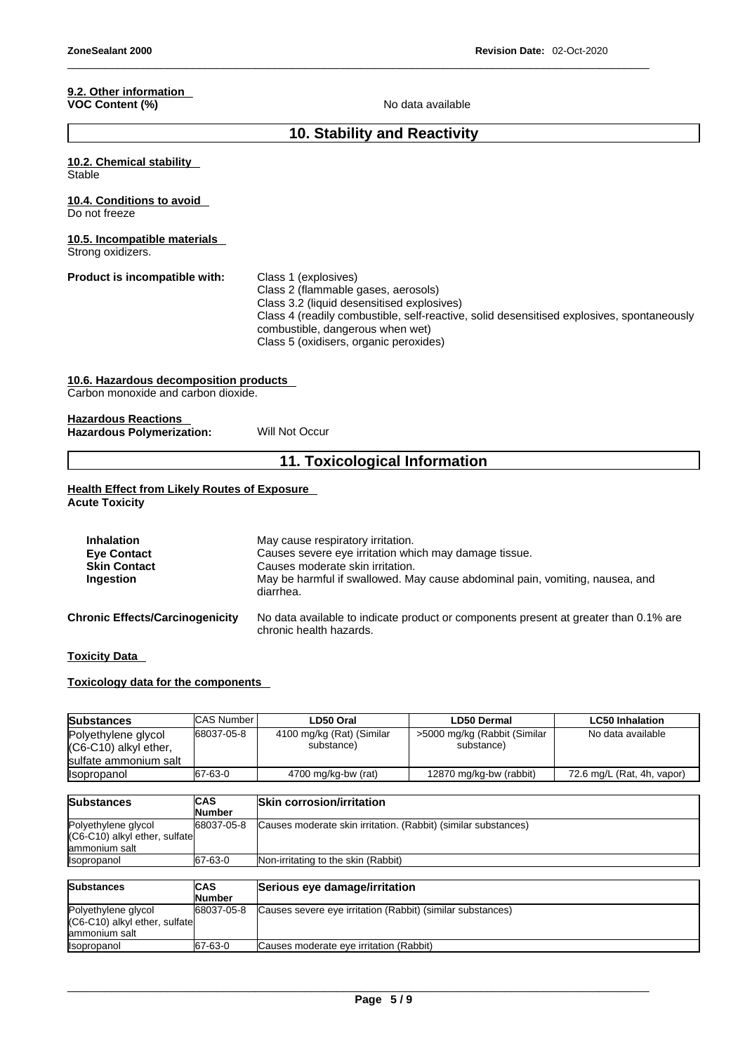### **9.2. Other information VOC Content (%)** No data available

\_\_\_\_\_\_\_\_\_\_\_\_\_\_\_\_\_\_\_\_\_\_\_\_\_\_\_\_\_\_\_\_\_\_\_\_\_\_\_\_\_\_\_\_\_\_\_\_\_\_\_\_\_\_\_\_\_\_\_\_\_\_\_\_\_\_\_\_\_\_\_\_\_\_\_\_\_\_\_\_\_\_\_\_\_\_\_\_\_\_\_\_\_

### **10. Stability and Reactivity**

# **10.2. Chemical stability Stable 10.4. Conditions to avoid**  Do not freeze **10.5. Incompatible materials** Strong oxidizers. **Product is incompatible with:** Class 1 (explosives) Class 2 (flammable gases, aerosols) Class 3.2 (liquid desensitised explosives) Class 4 (readily combustible, self-reactive, solid desensitised explosives, spontaneously combustible, dangerous when wet) Class 5 (oxidisers, organic peroxides) **10.6. Hazardous decomposition products**  Carbon monoxide and carbon dioxide. **Hazardous Reactions Hazardous Polymerization:** Will Not Occur **11. Toxicological Information**

### **Health Effect from Likely Routes of Exposure Acute Toxicity**

| <b>Inhalation</b>                      | May cause respiratory irritation.                                                                               |
|----------------------------------------|-----------------------------------------------------------------------------------------------------------------|
| <b>Eye Contact</b>                     | Causes severe eye irritation which may damage tissue.                                                           |
| <b>Skin Contact</b>                    | Causes moderate skin irritation.                                                                                |
| Ingestion                              | May be harmful if swallowed. May cause abdominal pain, vomiting, nausea, and<br>diarrhea.                       |
| <b>Chronic Effects/Carcinogenicity</b> | No data available to indicate product or components present at greater than 0.1% are<br>chronic health hazards. |

**Toxicity Data** 

### **Toxicology data for the components**

| <b>Substances</b>                                                     | <b>CAS Number</b>               | LD50 Oral                               | <b>LD50 Dermal</b>                         | <b>LC50 Inhalation</b>     |
|-----------------------------------------------------------------------|---------------------------------|-----------------------------------------|--------------------------------------------|----------------------------|
| Polyethylene glycol<br>(C6-C10) alkyl ether,<br>sulfate ammonium salt | 68037-05-8                      | 4100 mg/kg (Rat) (Similar<br>substance) | >5000 mg/kg (Rabbit (Similar<br>substance) | No data available          |
| <b>Isopropanol</b>                                                    | 167-63-0                        | 4700 mg/kg-bw (rat)                     | 12870 mg/kg-bw (rabbit)                    | 72.6 mg/L (Rat, 4h, vapor) |
|                                                                       |                                 |                                         |                                            |                            |
| <b>Substances</b>                                                     | <b>ICAS</b><br>la terra de la m | <b>Skin corrosion/irritation</b>        |                                            |                            |

| <u>wawutu ivvu</u>              | .             | ושומונו שטויטטיוסט וויסט                                       |
|---------------------------------|---------------|----------------------------------------------------------------|
|                                 | <b>Number</b> |                                                                |
| Polyethylene glycol             | 68037-05-8    | Causes moderate skin irritation. (Rabbit) (similar substances) |
| $(C6-C10)$ alkyl ether, sulfate |               |                                                                |
| lammonium salt                  |               |                                                                |
| <b>Isopropanol</b>              | 67-63-0       | <b>Non-irritating to the skin (Rabbit)</b>                     |
|                                 |               |                                                                |

| <b>Substances</b>                                                      | <b>ICAS</b><br><b>Number</b> | Serious eye damage/irritation                              |
|------------------------------------------------------------------------|------------------------------|------------------------------------------------------------|
| Polyethylene glycol<br>(C6-C10) alkyl ether, sulfate<br>lammonium salt | 68037-05-8                   | Causes severe eye irritation (Rabbit) (similar substances) |
| Isopropanol                                                            | 67-63-0                      | Causes moderate eye irritation (Rabbit)                    |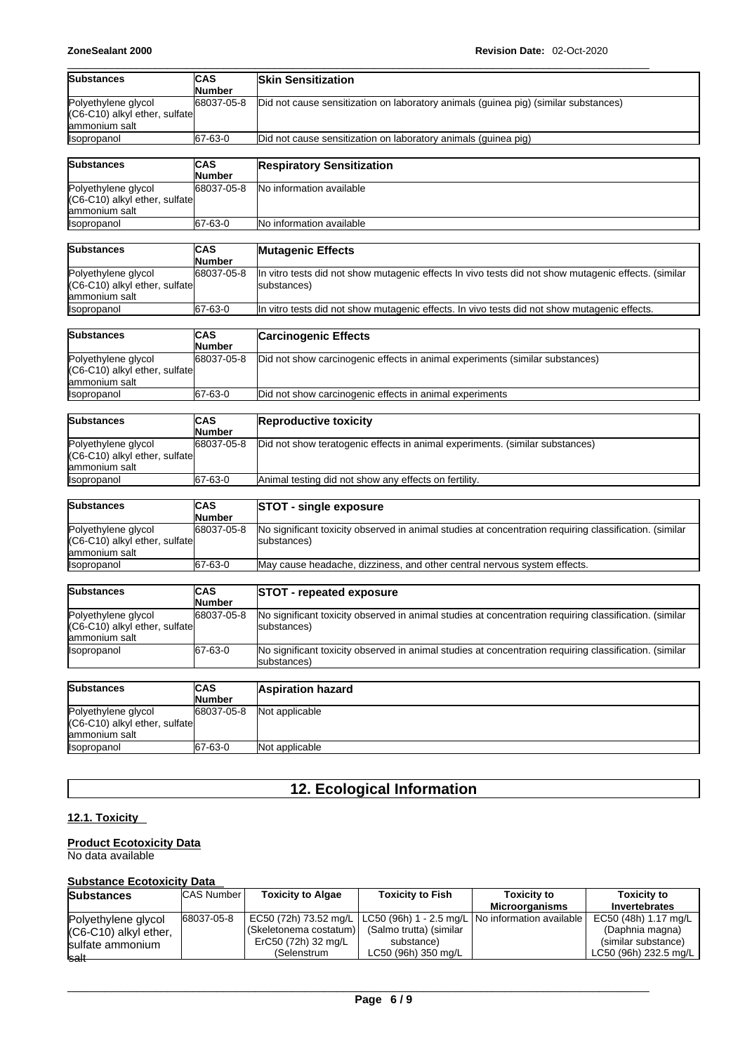| <b>Substances</b>                                                     | CAS<br>Number               | <b>Skin Sensitization</b>                                                                                             |  |  |  |
|-----------------------------------------------------------------------|-----------------------------|-----------------------------------------------------------------------------------------------------------------------|--|--|--|
| Polyethylene glycol<br>(C6-C10) alkyl ether, sulfate<br>ammonium salt | 68037-05-8                  | Did not cause sensitization on laboratory animals (guinea pig) (similar substances)                                   |  |  |  |
| Isopropanol                                                           | 67-63-0                     | Did not cause sensitization on laboratory animals (guinea pig)                                                        |  |  |  |
| <b>Substances</b>                                                     | CAS<br>Number               | <b>Respiratory Sensitization</b>                                                                                      |  |  |  |
| Polyethylene glycol<br>(C6-C10) alkyl ether, sulfate<br>ammonium salt | 68037-05-8                  | No information available                                                                                              |  |  |  |
| Isopropanol                                                           | 67-63-0                     | No information available                                                                                              |  |  |  |
| <b>Substances</b>                                                     | <b>CAS</b><br><b>Number</b> | <b>Mutagenic Effects</b>                                                                                              |  |  |  |
| Polyethylene glycol<br>(C6-C10) alkyl ether, sulfate<br>ammonium salt | 68037-05-8                  | In vitro tests did not show mutagenic effects In vivo tests did not show mutagenic effects. (similar<br>substances)   |  |  |  |
| Isopropanol                                                           | 67-63-0                     | In vitro tests did not show mutagenic effects. In vivo tests did not show mutagenic effects.                          |  |  |  |
| <b>Substances</b>                                                     | <b>CAS</b><br>Number        | <b>Carcinogenic Effects</b>                                                                                           |  |  |  |
| Polyethylene glycol<br>(C6-C10) alkyl ether, sulfate<br>ammonium salt | 68037-05-8                  | Did not show carcinogenic effects in animal experiments (similar substances)                                          |  |  |  |
| Isopropanol                                                           | 67-63-0                     | Did not show carcinogenic effects in animal experiments                                                               |  |  |  |
| <b>Substances</b>                                                     | <b>CAS</b><br>Number        | <b>Reproductive toxicity</b>                                                                                          |  |  |  |
| Polyethylene glycol<br>(C6-C10) alkyl ether, sulfate<br>ammonium salt | 68037-05-8                  | Did not show teratogenic effects in animal experiments. (similar substances)                                          |  |  |  |
| Isopropanol                                                           | 67-63-0                     | Animal testing did not show any effects on fertility.                                                                 |  |  |  |
| <b>Substances</b>                                                     | <b>CAS</b><br>Number        | <b>STOT - single exposure</b>                                                                                         |  |  |  |
| Polyethylene glycol<br>(C6-C10) alkyl ether, sulfate<br>ammonium salt | 68037-05-8                  | No significant toxicity observed in animal studies at concentration requiring classification. (similar<br>substances) |  |  |  |
| Isopropanol                                                           | 67-63-0                     | May cause headache, dizziness, and other central nervous system effects.                                              |  |  |  |
| <b>Substances</b>                                                     | <b>CAS</b><br>Number        | <b>STOT - repeated exposure</b>                                                                                       |  |  |  |
| Polyethylene glycol<br>(C6-C10) alkyl ether, sulfate<br>ammonium salt | 68037-05-8                  | No significant toxicity observed in animal studies at concentration requiring classification. (similar<br>substances) |  |  |  |
| Isopropanol                                                           | 67-63-0                     | No significant toxicity observed in animal studies at concentration requiring classification. (similar<br>substances) |  |  |  |
| <b>Substances</b>                                                     | CAS<br>Number               | <b>Aspiration hazard</b>                                                                                              |  |  |  |
| Polyethylene glycol<br>(C6-C10) alkyl ether, sulfate<br>ammonium salt | 68037-05-8                  | Not applicable                                                                                                        |  |  |  |

# **12. Ecological Information**

### **12.1. Toxicity**

### **Product Ecotoxicity Data**

Isopropanol 67-63-0 Not applicable

No data available

### **Substance Ecotoxicity Data**

| <b>Substances</b>     | <b>CAS Number  </b> | <b>Toxicity to Algae</b> | <b>Toxicity to Fish</b>                                                    | <b>Toxicity to</b>    | <b>Toxicity to</b>    |
|-----------------------|---------------------|--------------------------|----------------------------------------------------------------------------|-----------------------|-----------------------|
|                       |                     |                          |                                                                            | <b>Microorganisms</b> | Invertebrates         |
| Polyethylene glycol   | 68037-05-8          |                          | EC50 (72h) 73.52 mg/L   LC50 (96h) 1 - 2.5 mg/L   No information available |                       | EC50 (48h) 1.17 mg/L  |
| (C6-C10) alkyl ether, |                     | (Skeletonema costatum)   | (Salmo trutta) (similar                                                    |                       | (Daphnia magna)       |
| sulfate ammonium      |                     | ErC50 (72h) 32 mg/L      | substance)                                                                 |                       | (similar substance)   |
| <b>salt</b>           |                     | (Selenstrum              | LC50 (96h) 350 mg/L                                                        |                       | LC50 (96h) 232.5 mg/L |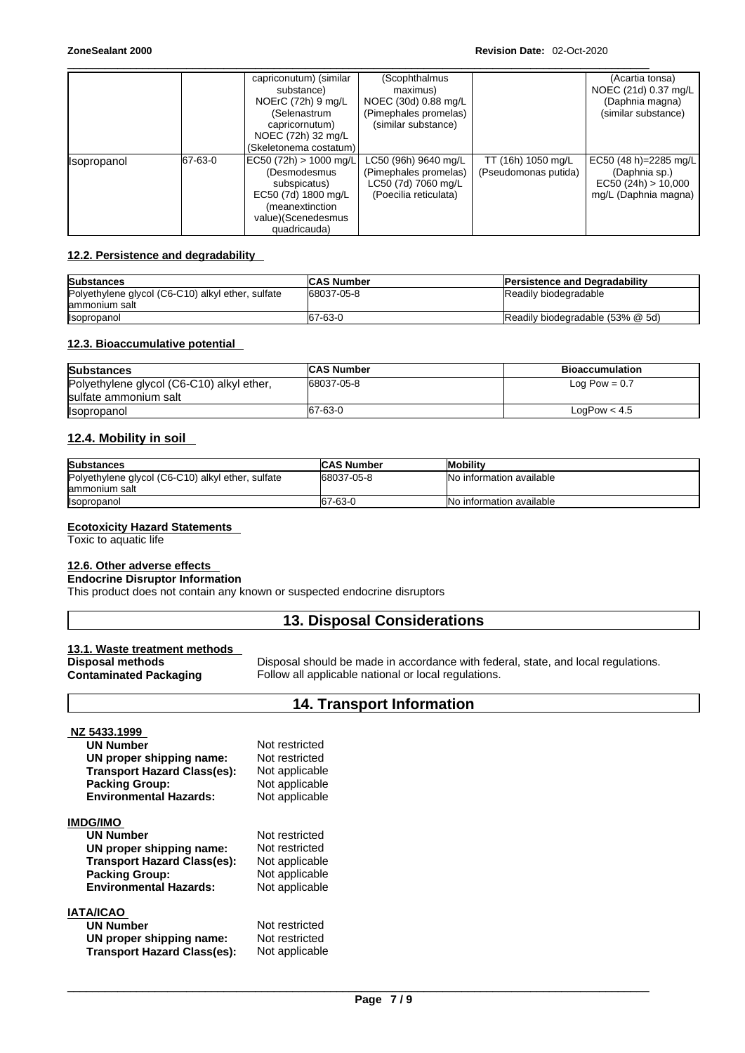|             |         | capriconutum) (similar<br>substance)<br>NOErC (72h) 9 mg/L<br>(Selenastrum                       | (Scophthalmus<br>maximus)<br>NOEC (30d) 0.88 mg/L<br>(Pimephales promelas)                    |                                            | (Acartia tonsa)<br>NOEC (21d) 0.37 mg/L<br>(Daphnia magna)<br>(similar substance)     |
|-------------|---------|--------------------------------------------------------------------------------------------------|-----------------------------------------------------------------------------------------------|--------------------------------------------|---------------------------------------------------------------------------------------|
|             |         | capricornutum)<br>NOEC (72h) 32 mg/L<br>(Skeletonema costatum)                                   | (similar substance)                                                                           |                                            |                                                                                       |
| Isopropanol | 67-63-0 | EC50 (72h) > 1000 mg/L<br>(Desmodesmus<br>subspicatus)<br>EC50 (7d) 1800 mg/L<br>(meanextinction | LC50 (96h) 9640 mg/L<br>(Pimephales promelas)<br>LC50 (7d) 7060 mg/L<br>(Poecilia reticulata) | TT (16h) 1050 mg/L<br>(Pseudomonas putida) | EC50 (48 h)=2285 mg/L<br>(Daphnia sp.)<br>EC50 (24h) > 10,000<br>mg/L (Daphnia magna) |
|             |         | value)(Scenedesmus<br>quadricauda)                                                               |                                                                                               |                                            |                                                                                       |

### **12.2. Persistence and degradability**

| <b>Substances</b>                                 | <b>ICAS Number</b> | <b>IPersistence and Degradability</b> |
|---------------------------------------------------|--------------------|---------------------------------------|
| Polyethylene glycol (C6-C10) alkyl ether, sulfate | 68037-05-8         | Readily biodegradable                 |
| lammonium salt                                    |                    |                                       |
| <b>Isopropanol</b>                                | 67-63-0            | Readily biodegradable (53% @ 5d)      |

### **12.3. Bioaccumulative potential**

| <b>Substances</b>                         | <b>CAS Number</b> | <b>Bioaccumulation</b> |
|-------------------------------------------|-------------------|------------------------|
| Polyethylene glycol (C6-C10) alkyl ether, | 68037-05-8        | Log Pow = $0.7$        |
| sulfate ammonium salt                     |                   |                        |
| <b>Isopropanol</b>                        | 67-63-0           | LogPow < 4.5           |

### **12.4. Mobility in soil**

| <b>Substances</b>                                                   | <b>CAS Number</b> | <b>Mobility</b>                  |
|---------------------------------------------------------------------|-------------------|----------------------------------|
| Polyethylene glycol (C6-C10) alkyl ether, sulfate<br>lammonium salt | 68037-05-8        | <b>No information available</b>  |
| <b>Isopropanol</b>                                                  | 67-63-0           | <b>INo information available</b> |

### **Ecotoxicity Hazard Statements**

Toxic to aquatic life

# **12.6. Other adverse effects**

# **Endocrine Disruptor Information**

This product does not contain any known or suspected endocrine disruptors

# **13. Disposal Considerations**

### **13.1. Waste treatment methods**

| Disposal methods              |  |
|-------------------------------|--|
| <b>Contaminated Packaging</b> |  |

Disposal should be made in accordance with federal, state, and local regulations. Follow all applicable national or local regulations.

# **14. Transport Information**

| NZ 5433.1999                       |                |  |
|------------------------------------|----------------|--|
| <b>UN Number</b>                   | Not restricted |  |
| UN proper shipping name:           | Not restricted |  |
| <b>Transport Hazard Class(es):</b> | Not applicable |  |
| <b>Packing Group:</b>              | Not applicable |  |
| <b>Environmental Hazards:</b>      | Not applicable |  |
| <b>IMDG/IMO</b>                    |                |  |
| <b>UN Number</b>                   | Not restricted |  |
| UN proper shipping name:           | Not restricted |  |
| <b>Transport Hazard Class(es):</b> | Not applicable |  |
| <b>Packing Group:</b>              | Not applicable |  |
| <b>Environmental Hazards:</b>      | Not applicable |  |
| <b>IATA/ICAO</b>                   |                |  |
| <b>UN Number</b>                   | Not restricted |  |
| UN proper shipping name:           | Not restricted |  |
| <b>Transport Hazard Class(es):</b> | Not applicable |  |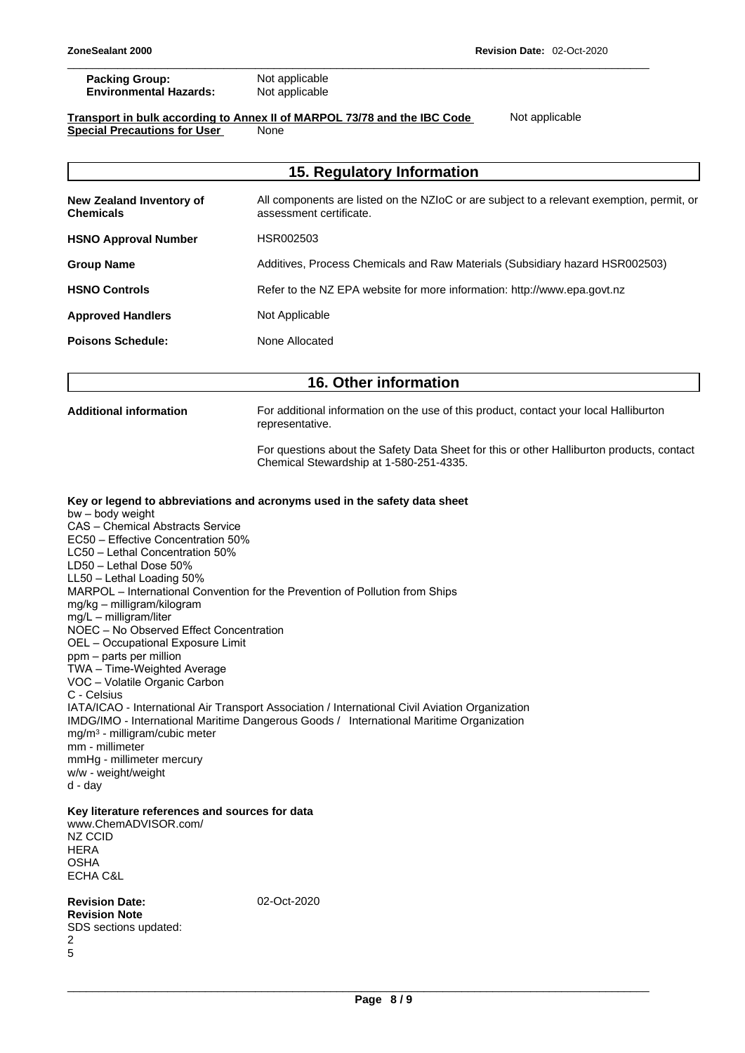\_\_\_\_\_\_\_\_\_\_\_\_\_\_\_\_\_\_\_\_\_\_\_\_\_\_\_\_\_\_\_\_\_\_\_\_\_\_\_\_\_\_\_\_\_\_\_\_\_\_\_\_\_\_\_\_\_\_\_\_\_\_\_\_\_\_\_\_\_\_\_\_\_\_\_\_\_\_\_\_\_\_\_\_\_\_\_\_\_\_\_\_\_

| <b>Packing Group:</b>         | Not applicable |  |
|-------------------------------|----------------|--|
| <b>Environmental Hazards:</b> | Not applicable |  |

### **Transport in bulk according to Annex II ofMARPOL 73/78 and the IBC Code** Not applicable **Special Precautions for User** None

|                                                                                                                                                                                                                                                                                                                                                                                                                                                                                                                                                                                                                   | 15. Regulatory Information                                                                                                                                                                                                                                                 |
|-------------------------------------------------------------------------------------------------------------------------------------------------------------------------------------------------------------------------------------------------------------------------------------------------------------------------------------------------------------------------------------------------------------------------------------------------------------------------------------------------------------------------------------------------------------------------------------------------------------------|----------------------------------------------------------------------------------------------------------------------------------------------------------------------------------------------------------------------------------------------------------------------------|
| New Zealand Inventory of<br><b>Chemicals</b>                                                                                                                                                                                                                                                                                                                                                                                                                                                                                                                                                                      | All components are listed on the NZIoC or are subject to a relevant exemption, permit, or<br>assessment certificate.                                                                                                                                                       |
| <b>HSNO Approval Number</b>                                                                                                                                                                                                                                                                                                                                                                                                                                                                                                                                                                                       | HSR002503                                                                                                                                                                                                                                                                  |
| <b>Group Name</b>                                                                                                                                                                                                                                                                                                                                                                                                                                                                                                                                                                                                 | Additives, Process Chemicals and Raw Materials (Subsidiary hazard HSR002503)                                                                                                                                                                                               |
| <b>HSNO Controls</b>                                                                                                                                                                                                                                                                                                                                                                                                                                                                                                                                                                                              | Refer to the NZ EPA website for more information: http://www.epa.govt.nz                                                                                                                                                                                                   |
| <b>Approved Handlers</b>                                                                                                                                                                                                                                                                                                                                                                                                                                                                                                                                                                                          | Not Applicable                                                                                                                                                                                                                                                             |
| <b>Poisons Schedule:</b>                                                                                                                                                                                                                                                                                                                                                                                                                                                                                                                                                                                          | None Allocated                                                                                                                                                                                                                                                             |
|                                                                                                                                                                                                                                                                                                                                                                                                                                                                                                                                                                                                                   | 16. Other information                                                                                                                                                                                                                                                      |
| <b>Additional information</b>                                                                                                                                                                                                                                                                                                                                                                                                                                                                                                                                                                                     | For additional information on the use of this product, contact your local Halliburton<br>representative.                                                                                                                                                                   |
|                                                                                                                                                                                                                                                                                                                                                                                                                                                                                                                                                                                                                   | For questions about the Safety Data Sheet for this or other Halliburton products, contact<br>Chemical Stewardship at 1-580-251-4335.                                                                                                                                       |
| LC50 - Lethal Concentration 50%<br>LD50 - Lethal Dose 50%<br>LL50 - Lethal Loading 50%<br>mg/kg - milligram/kilogram<br>mg/L - milligram/liter<br>NOEC - No Observed Effect Concentration<br>OEL - Occupational Exposure Limit<br>ppm - parts per million<br>TWA - Time-Weighted Average<br>VOC - Volatile Organic Carbon<br>C - Celsius<br>mg/m <sup>3</sup> - milligram/cubic meter<br>mm - millimeter<br>mmHg - millimeter mercury<br>w/w - weight/weight<br>d - day<br>Key literature references and sources for data<br>www.ChemADVISOR.com/<br>NZ CCID<br><b>HERA</b><br><b>OSHA</b><br><b>ECHA C&amp;L</b> | MARPOL - International Convention for the Prevention of Pollution from Ships<br>IATA/ICAO - International Air Transport Association / International Civil Aviation Organization<br>IMDG/IMO - International Maritime Dangerous Goods / International Maritime Organization |
| <b>Revision Date:</b><br><b>Revision Note</b><br>SDS sections updated:<br>2<br>5                                                                                                                                                                                                                                                                                                                                                                                                                                                                                                                                  | 02-Oct-2020                                                                                                                                                                                                                                                                |